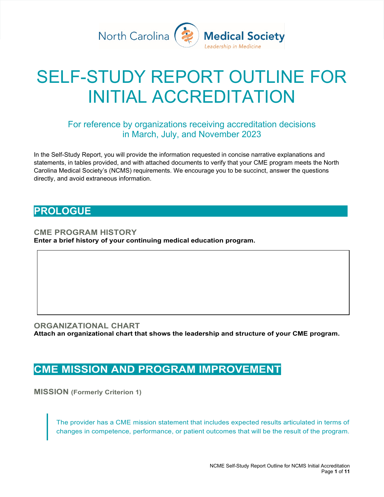

# SELF-STUDY REPORT OUTLINE FOR INITIAL ACCREDITATION

#### For reference by organizations receiving accreditation decisions in March, July, and November 2023

In the Self-Study Report, you will provide the information requested in concise narrative explanations and statements, in tables provided, and with attached documents to verify that your CME program meets the North Carolina Medical Society's (NCMS) requirements. We encourage you to be succinct, answer the questions directly, and avoid extraneous information.

## **PROLOGUE**

**CME PROGRAM HISTORY Enter a brief history of your continuing medical education program.**

#### **ORGANIZATIONAL CHART Attach an organizational chart that shows the leadership and structure of your CME program.**

# **CME MISSION AND PROGRAM IMPROVEMENT**

**MISSION (Formerly Criterion 1)**

The provider has a CME mission statement that includes expected results articulated in terms of changes in competence, performance, or patient outcomes that will be the result of the program.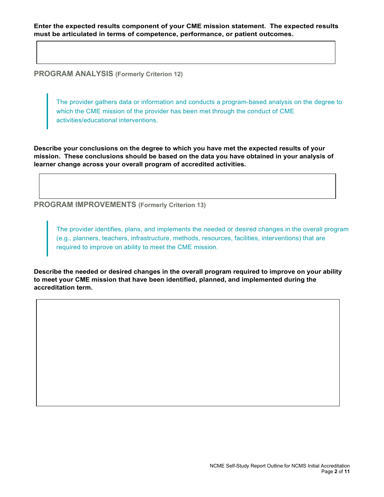**PROGRAM ANALYSIS (Formerly Criterion 12)**

The provider gathers data or information and conducts a program-based analysis on the degree to which the CME mission of the provider has been met through the conduct of CME activities/educational interventions.

**Describe your conclusions on the degree to which you have met the expected results of your mission. These conclusions should be based on the data you have obtained in your analysis of learner change across your overall program of accredited activities.** 

**PROGRAM IMPROVEMENTS (Formerly Criterion 13)**

The provider identifies, plans, and implements the needed or desired changes in the overall program (e.g., planners, teachers, infrastructure, methods, resources, facilities, interventions) that are required to improve on ability to meet the CME mission.

**Describe the needed or desired changes in the overall program required to improve on your ability to meet your CME mission that have been identified, planned, and implemented during the accreditation term.**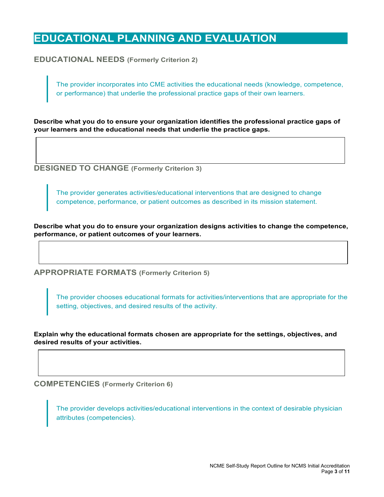# **EDUCATIONAL PLANNING AND EVALUATION**

**EDUCATIONAL NEEDS (Formerly Criterion 2)**

The provider incorporates into CME activities the educational needs (knowledge, competence, or performance) that underlie the professional practice gaps of their own learners.

**Describe what you do to ensure your organization identifies the professional practice gaps of your learners and the educational needs that underlie the practice gaps.** 

**DESIGNED TO CHANGE (Formerly Criterion 3)**

The provider generates activities/educational interventions that are designed to change competence, performance, or patient outcomes as described in its mission statement.

**Describe what you do to ensure your organization designs activities to change the competence, performance, or patient outcomes of your learners.** 

**APPROPRIATE FORMATS (Formerly Criterion 5)**

The provider chooses educational formats for activities/interventions that are appropriate for the setting, objectives, and desired results of the activity.

**Explain why the educational formats chosen are appropriate for the settings, objectives, and desired results of your activities.** 

**COMPETENCIES (Formerly Criterion 6)**

The provider develops activities/educational interventions in the context of desirable physician attributes (competencies).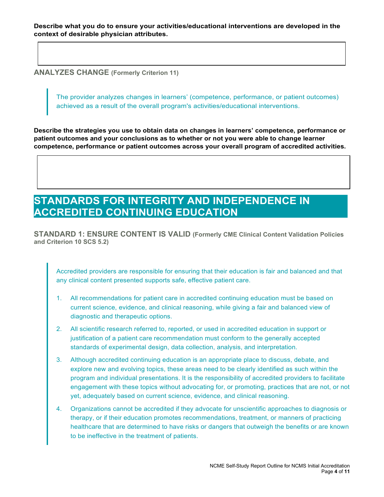**ANALYZES CHANGE (Formerly Criterion 11)**

The provider analyzes changes in learners' (competence, performance, or patient outcomes) achieved as a result of the overall program's activities/educational interventions.

**Describe the strategies you use to obtain data on changes in learners' competence, performance or patient outcomes and your conclusions as to whether or not you were able to change learner competence, performance or patient outcomes across your overall program of accredited activities.** 

# **STANDARDS FOR INTEGRITY AND INDEPENDENCE IN ACCREDITED CONTINUING EDUCATION**

**STANDARD 1: ENSURE CONTENT IS VALID (Formerly CME Clinical Content Validation Policies and Criterion 10 SCS 5.2)**

Accredited providers are responsible for ensuring that their education is fair and balanced and that any clinical content presented supports safe, effective patient care.

- 1. All recommendations for patient care in accredited continuing education must be based on current science, evidence, and clinical reasoning, while giving a fair and balanced view of diagnostic and therapeutic options.
- 2. All scientific research referred to, reported, or used in accredited education in support or justification of a patient care recommendation must conform to the generally accepted standards of experimental design, data collection, analysis, and interpretation.
- 3. Although accredited continuing education is an appropriate place to discuss, debate, and explore new and evolving topics, these areas need to be clearly identified as such within the program and individual presentations. It is the responsibility of accredited providers to facilitate engagement with these topics without advocating for, or promoting, practices that are not, or not yet, adequately based on current science, evidence, and clinical reasoning.
- 4. Organizations cannot be accredited if they advocate for unscientific approaches to diagnosis or therapy, or if their education promotes recommendations, treatment, or manners of practicing healthcare that are determined to have risks or dangers that outweigh the benefits or are known to be ineffective in the treatment of patients.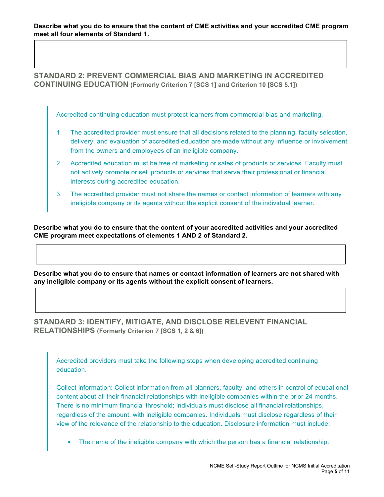**Describe what you do to ensure that the content of CME activities and your accredited CME program meet all four elements of Standard 1.** 

**STANDARD 2: PREVENT COMMERCIAL BIAS AND MARKETING IN ACCREDITED CONTINUING EDUCATION (Formerly Criterion 7 [SCS 1] and Criterion 10 [SCS 5.1])** 

Accredited continuing education must protect learners from commercial bias and marketing.

- 1. The accredited provider must ensure that all decisions related to the planning, faculty selection, delivery, and evaluation of accredited education are made without any influence or involvement from the owners and employees of an ineligible company.
- 2. Accredited education must be free of marketing or sales of products or services. Faculty must not actively promote or sell products or services that serve their professional or financial interests during accredited education.
- 3. The accredited provider must not share the names or contact information of learners with any ineligible company or its agents without the explicit consent of the individual learner.

**Describe what you do to ensure that the content of your accredited activities and your accredited CME program meet expectations of elements 1 AND 2 of Standard 2.** 

**Describe what you do to ensure that names or contact information of learners are not shared with any ineligible company or its agents without the explicit consent of learners.**

**STANDARD 3: IDENTIFY, MITIGATE, AND DISCLOSE RELEVENT FINANCIAL RELATIONSHIPS (Formerly Criterion 7 [SCS 1, 2 & 6])** 

Accredited providers must take the following steps when developing accredited continuing education.

Collect information: Collect information from all planners, faculty, and others in control of educational content about all their financial relationships with ineligible companies within the prior 24 months. There is no minimum financial threshold; individuals must disclose all financial relationships, regardless of the amount, with ineligible companies. Individuals must disclose regardless of their view of the relevance of the relationship to the education. Disclosure information must include:

• The name of the ineligible company with which the person has a financial relationship.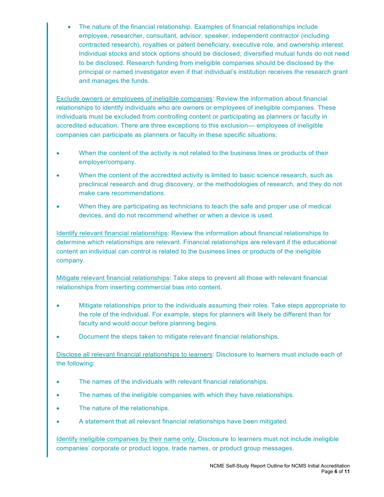• The nature of the financial relationship. Examples of financial relationships include employee, researcher, consultant, advisor, speaker, independent contractor (including contracted research), royalties or patent beneficiary, executive role, and ownership interest. Individual stocks and stock options should be disclosed; diversified mutual funds do not need to be disclosed. Research funding from ineligible companies should be disclosed by the principal or named investigator even if that individual's institution receives the research grant and manages the funds.

Exclude owners or employees of ineligible companies: Review the information about financial relationships to identify individuals who are owners or employees of ineligible companies. These individuals must be excluded from controlling content or participating as planners or faculty in accredited education. There are three exceptions to this exclusion— employees of ineligible companies can participate as planners or faculty in these specific situations:

- When the content of the activity is not related to the business lines or products of their employer/company.
- When the content of the accredited activity is limited to basic science research, such as preclinical research and drug discovery, or the methodologies of research, and they do not make care recommendations.
- When they are participating as technicians to teach the safe and proper use of medical devices, and do not recommend whether or when a device is used.

Identify relevant financial relationships: Review the information about financial relationships to determine which relationships are relevant. Financial relationships are relevant if the educational content an individual can control is related to the business lines or products of the ineligible company.

Mitigate relevant financial relationships: Take steps to prevent all those with relevant financial relationships from inserting commercial bias into content.

- Mitigate relationships prior to the individuals assuming their roles. Take steps appropriate to the role of the individual. For example, steps for planners will likely be different than for faculty and would occur before planning begins.
- Document the steps taken to mitigate relevant financial relationships.

Disclose all relevant financial relationships to learners: Disclosure to learners must include each of the following:

- The names of the individuals with relevant financial relationships.
- The names of the ineligible companies with which they have relationships.
- The nature of the relationships.
- A statement that all relevant financial relationships have been mitigated.

Identify ineligible companies by their name only. Disclosure to learners must not include ineligible companies' corporate or product logos, trade names, or product group messages.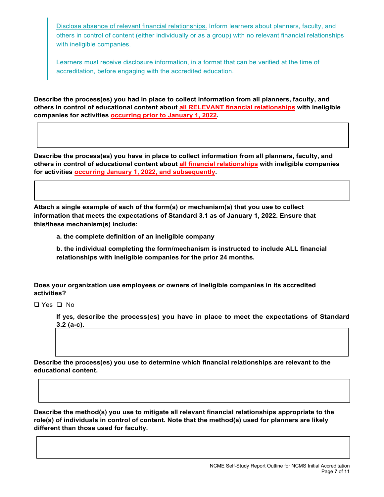Disclose absence of relevant financial relationships. Inform learners about planners, faculty, and others in control of content (either individually or as a group) with no relevant financial relationships with ineligible companies.

Learners must receive disclosure information, in a format that can be verified at the time of accreditation, before engaging with the accredited education.

**Describe the process(es) you had in place to collect information from all planners, faculty, and others in control of educational content about all RELEVANT financial relationships with ineligible companies for activities occurring prior to January 1, 2022.** 

**Describe the process(es) you have in place to collect information from all planners, faculty, and others in control of educational content about all financial relationships with ineligible companies for activities occurring January 1, 2022, and subsequently.** 

**Attach a single example of each of the form(s) or mechanism(s) that you use to collect information that meets the expectations of Standard 3.1 as of January 1, 2022. Ensure that this/these mechanism(s) include:**

**a. the complete definition of an ineligible company**

**b. the individual completing the form/mechanism is instructed to include ALL financial relationships with ineligible companies for the prior 24 months.**

**Does your organization use employees or owners of ineligible companies in its accredited activities?** 

Yes No

**If yes, describe the process(es) you have in place to meet the expectations of Standard 3.2 (a-c).** 

**Describe the process(es) you use to determine which financial relationships are relevant to the educational content.** 

**Describe the method(s) you use to mitigate all relevant financial relationships appropriate to the role(s) of individuals in control of content. Note that the method(s) used for planners are likely different than those used for faculty.**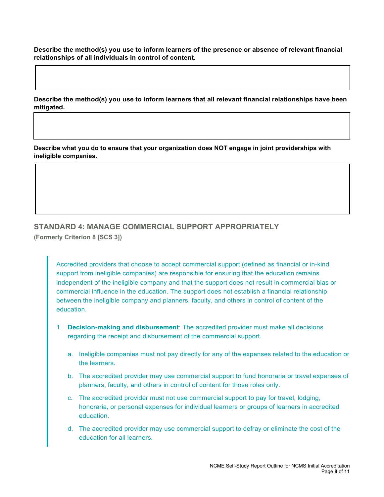**Describe the method(s) you use to inform learners of the presence or absence of relevant financial relationships of all individuals in control of content.** 

**Describe the method(s) you use to inform learners that all relevant financial relationships have been mitigated.** 

**Describe what you do to ensure that your organization does NOT engage in joint providerships with ineligible companies.** 

#### **STANDARD 4: MANAGE COMMERCIAL SUPPORT APPROPRIATELY (Formerly Criterion 8 [SCS 3])**

Accredited providers that choose to accept commercial support (defined as financial or in-kind support from ineligible companies) are responsible for ensuring that the education remains independent of the ineligible company and that the support does not result in commercial bias or commercial influence in the education. The support does not establish a financial relationship between the ineligible company and planners, faculty, and others in control of content of the education.

- 1. **Decision-making and disbursement**: The accredited provider must make all decisions regarding the receipt and disbursement of the commercial support.
	- a. Ineligible companies must not pay directly for any of the expenses related to the education or the learners.
	- b. The accredited provider may use commercial support to fund honoraria or travel expenses of planners, faculty, and others in control of content for those roles only.
	- c. The accredited provider must not use commercial support to pay for travel, lodging, honoraria, or personal expenses for individual learners or groups of learners in accredited education.
	- d. The accredited provider may use commercial support to defray or eliminate the cost of the education for all learners.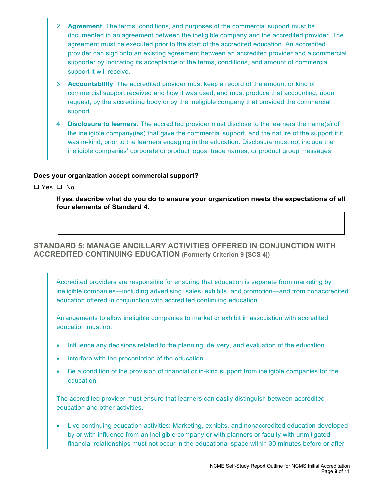- 2. **Agreement**: The terms, conditions, and purposes of the commercial support must be documented in an agreement between the ineligible company and the accredited provider. The agreement must be executed prior to the start of the accredited education. An accredited provider can sign onto an existing agreement between an accredited provider and a commercial supporter by indicating its acceptance of the terms, conditions, and amount of commercial support it will receive.
- 3. **Accountability**: The accredited provider must keep a record of the amount or kind of commercial support received and how it was used, and must produce that accounting, upon request, by the accrediting body or by the ineligible company that provided the commercial support.
- 4. **Disclosure to learners**: The accredited provider must disclose to the learners the name(s) of the ineligible company(ies) that gave the commercial support, and the nature of the support if it was in-kind, prior to the learners engaging in the education. Disclosure must not include the ineligible companies' corporate or product logos, trade names, or product group messages.

#### **Does your organization accept commercial support?**

Yes No

**If yes, describe what do you do to ensure your organization meets the expectations of all four elements of Standard 4.** 

#### **STANDARD 5: MANAGE ANCILLARY ACTIVITIES OFFERED IN CONJUNCTION WITH ACCREDITED CONTINUING EDUCATION (Formerly Criterion 9 [SCS 4])**

Accredited providers are responsible for ensuring that education is separate from marketing by ineligible companies—including advertising, sales, exhibits, and promotion—and from nonaccredited education offered in conjunction with accredited continuing education.

Arrangements to allow ineligible companies to market or exhibit in association with accredited education must not:

- Influence any decisions related to the planning, delivery, and evaluation of the education.
- Interfere with the presentation of the education.
- Be a condition of the provision of financial or in-kind support from ineligible companies for the education.

The accredited provider must ensure that learners can easily distinguish between accredited education and other activities.

• Live continuing education activities: Marketing, exhibits, and nonaccredited education developed by or with influence from an ineligible company or with planners or faculty with unmitigated financial relationships must not occur in the educational space within 30 minutes before or after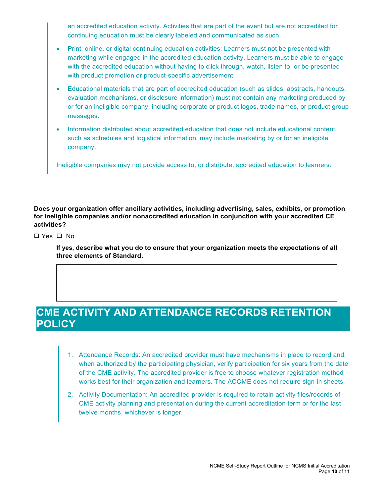an accredited education activity. Activities that are part of the event but are not accredited for continuing education must be clearly labeled and communicated as such.

- Print, online, or digital continuing education activities: Learners must not be presented with marketing while engaged in the accredited education activity. Learners must be able to engage with the accredited education without having to click through, watch, listen to, or be presented with product promotion or product-specific advertisement.
- Educational materials that are part of accredited education (such as slides, abstracts, handouts, evaluation mechanisms, or disclosure information) must not contain any marketing produced by or for an ineligible company, including corporate or product logos, trade names, or product group messages.
- Information distributed about accredited education that does not include educational content, such as schedules and logistical information, may include marketing by or for an ineligible company.

Ineligible companies may not provide access to, or distribute, accredited education to learners.

**Does your organization offer ancillary activities, including advertising, sales, exhibits, or promotion for ineligible companies and/or nonaccredited education in conjunction with your accredited CE activities?** 

 $\Box$  Yes  $\Box$  No.

**If yes, describe what you do to ensure that your organization meets the expectations of all three elements of Standard.** 

## **CME ACTIVITY AND ATTENDANCE RECORDS RETENTION POLICY**

- 1. Attendance Records: An accredited provider must have mechanisms in place to record and, when authorized by the participating physician, verify participation for six years from the date of the CME activity. The accredited provider is free to choose whatever registration method works best for their organization and learners. The ACCME does not require sign-in sheets.
- 2. Activity Documentation: An accredited provider is required to retain activity files/records of CME activity planning and presentation during the current accreditation term or for the last twelve months, whichever is longer.